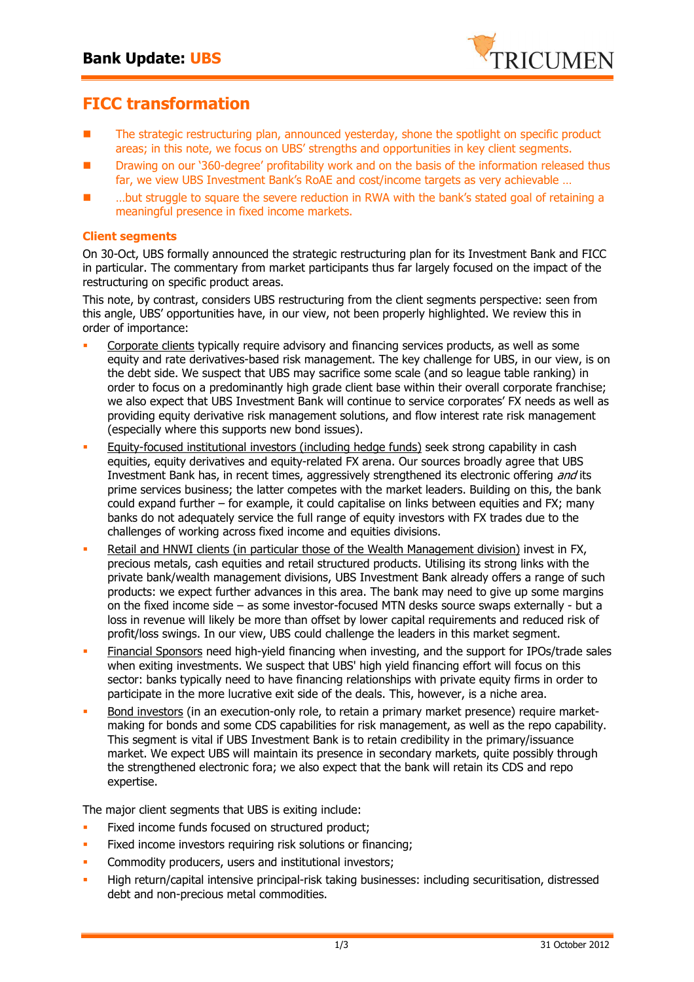

## **FICC transformation**

- The strategic restructuring plan, announced yesterday, shone the spotlight on specific product areas; in this note, we focus on UBS' strengths and opportunities in key client segments.
- Drawing on our '360-degree' profitability work and on the basis of the information released thus far, we view UBS Investment Bank's RoAE and cost/income targets as very achievable …
- ...but struggle to square the severe reduction in RWA with the bank's stated goal of retaining a meaningful presence in fixed income markets.

## **Client segments**

On 30-Oct, UBS formally announced the strategic restructuring plan for its Investment Bank and FICC in particular. The commentary from market participants thus far largely focused on the impact of the restructuring on specific product areas.

This note, by contrast, considers UBS restructuring from the client segments perspective: seen from this angle, UBS' opportunities have, in our view, not been properly highlighted. We review this in order of importance:

- - Corporate clients typically require advisory and financing services products, as well as some equity and rate derivatives-based risk management. The key challenge for UBS, in our view, is on the debt side. We suspect that UBS may sacrifice some scale (and so league table ranking) in order to focus on a predominantly high grade client base within their overall corporate franchise; we also expect that UBS Investment Bank will continue to service corporates' FX needs as well as providing equity derivative risk management solutions, and flow interest rate risk management (especially where this supports new bond issues).
- - Equity-focused institutional investors (including hedge funds) seek strong capability in cash equities, equity derivatives and equity-related FX arena. Our sources broadly agree that UBS Investment Bank has, in recent times, aggressively strengthened its electronic offering and its prime services business; the latter competes with the market leaders. Building on this, the bank could expand further – for example, it could capitalise on links between equities and FX; many banks do not adequately service the full range of equity investors with FX trades due to the challenges of working across fixed income and equities divisions.
- - Retail and HNWI clients (in particular those of the Wealth Management division) invest in FX, precious metals, cash equities and retail structured products. Utilising its strong links with the private bank/wealth management divisions, UBS Investment Bank already offers a range of such products: we expect further advances in this area. The bank may need to give up some margins on the fixed income side – as some investor-focused MTN desks source swaps externally - but a loss in revenue will likely be more than offset by lower capital requirements and reduced risk of profit/loss swings. In our view, UBS could challenge the leaders in this market segment.
- - Financial Sponsors need high-yield financing when investing, and the support for IPOs/trade sales when exiting investments. We suspect that UBS' high yield financing effort will focus on this sector: banks typically need to have financing relationships with private equity firms in order to participate in the more lucrative exit side of the deals. This, however, is a niche area.
- - Bond investors (in an execution-only role, to retain a primary market presence) require marketmaking for bonds and some CDS capabilities for risk management, as well as the repo capability. This segment is vital if UBS Investment Bank is to retain credibility in the primary/issuance market. We expect UBS will maintain its presence in secondary markets, quite possibly through the strengthened electronic fora; we also expect that the bank will retain its CDS and repo expertise.

The major client segments that UBS is exiting include:

- -Fixed income funds focused on structured product;
- -Fixed income investors requiring risk solutions or financing;
- -Commodity producers, users and institutional investors;
- - High return/capital intensive principal-risk taking businesses: including securitisation, distressed debt and non-precious metal commodities.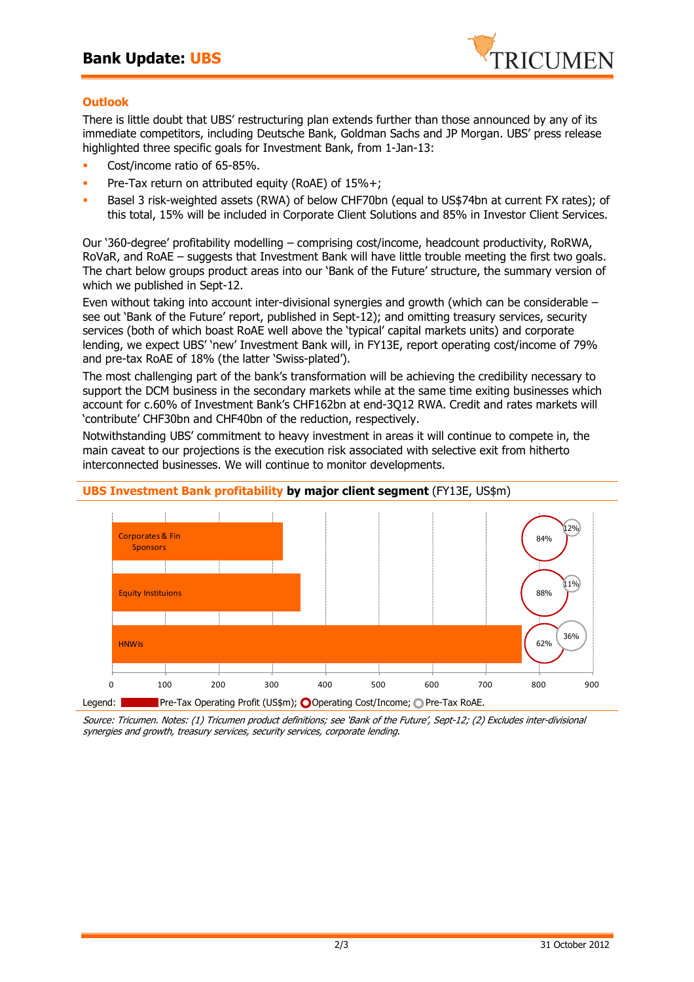

## **Outlook**

There is little doubt that UBS' restructuring plan extends further than those announced by any of its immediate competitors, including Deutsche Bank, Goldman Sachs and JP Morgan. UBS' press release highlighted three specific goals for Investment Bank, from 1-Jan-13:

- -Cost/income ratio of 65-85%.
- -Pre-Tax return on attributed equity (RoAE) of 15%+;
- - Basel 3 risk-weighted assets (RWA) of below CHF70bn (equal to US\$74bn at current FX rates); of this total, 15% will be included in Corporate Client Solutions and 85% in Investor Client Services.

Our '360-degree' profitability modelling – comprising cost/income, headcount productivity, RoRWA, RoVaR, and RoAE – suggests that Investment Bank will have little trouble meeting the first two goals. The chart below groups product areas into our 'Bank of the Future' structure, the summary version of which we published in Sept-12.

Even without taking into account inter-divisional synergies and growth (which can be considerable – see out 'Bank of the Future' report, published in Sept-12); and omitting treasury services, security services (both of which boast RoAE well above the 'typical' capital markets units) and corporate lending, we expect UBS' 'new' Investment Bank will, in FY13E, report operating cost/income of 79% and pre-tax RoAE of 18% (the latter 'Swiss-plated').

The most challenging part of the bank's transformation will be achieving the credibility necessary to support the DCM business in the secondary markets while at the same time exiting businesses which account for c.60% of Investment Bank's CHF162bn at end-3Q12 RWA. Credit and rates markets will 'contribute' CHF30bn and CHF40bn of the reduction, respectively.

Notwithstanding UBS' commitment to heavy investment in areas it will continue to compete in, the main caveat to our projections is the execution risk associated with selective exit from hitherto interconnected businesses. We will continue to monitor developments.



**UBS Investment Bank profitability by major client segment** (FY13E, US\$m)

Source: Tricumen. Notes: (1) Tricumen product definitions; see 'Bank of the Future', Sept-12; (2) Excludes inter-divisional synergies and growth, treasury services, security services, corporate lending.